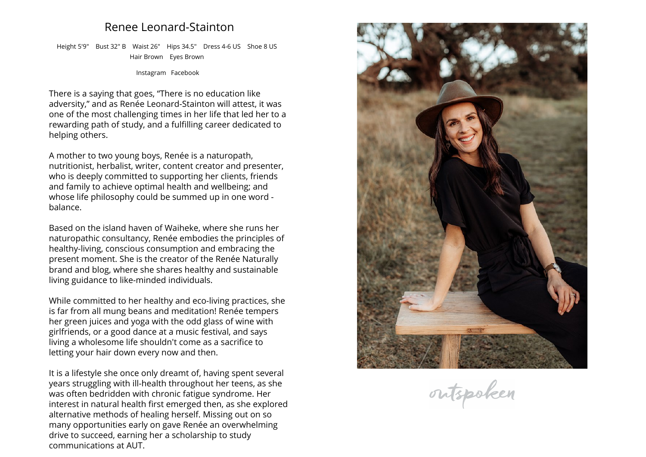## **Renee Leonard-Stainton**

**Height 5'9" Bust 32" <sup>B</sup> Waist 26" Hips 34.5" Dress 4-6 US Shoe <sup>8</sup> US Hair Brown Eyes Brown**

**[Instagram](https://www.instagram.com/reneenaturally) [Facebook](https://www.facebook.com/reneenaturally)**

**There is <sup>a</sup> saying that goes, "There is no education like adversity," and as Renée Leonard-Stainton will attest, it was one of the most challenging times in her life that led her to <sup>a</sup> rewarding path of study, and <sup>a</sup> fulfilling career dedicated to helping others.**

**A mother to two young boys, Renée is <sup>a</sup> naturopath, nutritionist, herbalist, writer, content creator and presenter, who is deeply committed to supporting her clients, friends and family to achieve optimal health and wellbeing; and whose life <sup>p</sup>hilosophy could be summed up in one word - balance.**

**Based on the island haven of Waiheke, where she runs her naturopathic consultancy, Renée embodies the principles of healthy-living, conscious consumption and embracing the present moment. She is the creator of the Renée Naturally brand and blog, where she shares healthy and sustainable living guidance to like-minded individuals.**

**While committed to her healthy and eco-living practices, she is far from all mung beans and meditation! Renée tempers her green juices and yoga with the odd <sup>g</sup>lass of wine with girlfriends, or <sup>a</sup> good dance at <sup>a</sup> music festival, and says living <sup>a</sup> wholesome life shouldn't come as <sup>a</sup> sacrifice toletting your hair down every now and then.**

**It is <sup>a</sup> lifestyle she once only dreamt of, having spent several years struggling with ill-health throughout her teens, as she was often bedridden with chronic fatigue syndrome. Her interest in natural health first emerged then, as she explored alternative methods of healing herself. Missing out on so many opportunities early on gave Renée an overwhelming drive to succeed, earning her <sup>a</sup> scholarship to study communications at AUT.**



outspoken